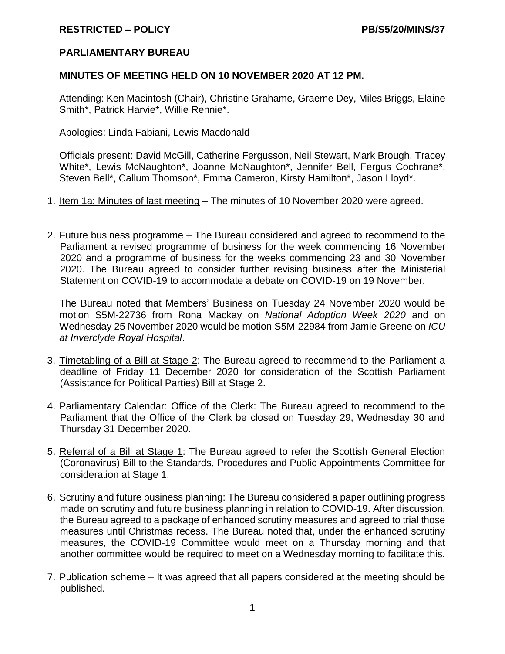## **PARLIAMENTARY BUREAU**

## **MINUTES OF MEETING HELD ON 10 NOVEMBER 2020 AT 12 PM.**

Attending: Ken Macintosh (Chair), Christine Grahame, Graeme Dey, Miles Briggs, Elaine Smith\*, Patrick Harvie\*, Willie Rennie\*.

Apologies: Linda Fabiani, Lewis Macdonald

Officials present: David McGill, Catherine Fergusson, Neil Stewart, Mark Brough, Tracey White\*, Lewis McNaughton\*, Joanne McNaughton\*, Jennifer Bell, Fergus Cochrane\*, Steven Bell\*, Callum Thomson\*, Emma Cameron, Kirsty Hamilton\*, Jason Lloyd\*.

- 1. Item 1a: Minutes of last meeting The minutes of 10 November 2020 were agreed.
- 2. Future business programme The Bureau considered and agreed to recommend to the Parliament a revised programme of business for the week commencing 16 November 2020 and a programme of business for the weeks commencing 23 and 30 November 2020. The Bureau agreed to consider further revising business after the Ministerial Statement on COVID-19 to accommodate a debate on COVID-19 on 19 November.

The Bureau noted that Members' Business on Tuesday 24 November 2020 would be motion S5M-22736 from Rona Mackay on *National Adoption Week 2020* and on Wednesday 25 November 2020 would be motion S5M-22984 from Jamie Greene on *ICU at Inverclyde Royal Hospital*.

- 3. Timetabling of a Bill at Stage 2: The Bureau agreed to recommend to the Parliament a deadline of Friday 11 December 2020 for consideration of the Scottish Parliament (Assistance for Political Parties) Bill at Stage 2.
- 4. Parliamentary Calendar: Office of the Clerk: The Bureau agreed to recommend to the Parliament that the Office of the Clerk be closed on Tuesday 29, Wednesday 30 and Thursday 31 December 2020.
- 5. Referral of a Bill at Stage 1: The Bureau agreed to refer the Scottish General Election (Coronavirus) Bill to the Standards, Procedures and Public Appointments Committee for consideration at Stage 1.
- 6. Scrutiny and future business planning: The Bureau considered a paper outlining progress made on scrutiny and future business planning in relation to COVID-19. After discussion, the Bureau agreed to a package of enhanced scrutiny measures and agreed to trial those measures until Christmas recess. The Bureau noted that, under the enhanced scrutiny measures, the COVID-19 Committee would meet on a Thursday morning and that another committee would be required to meet on a Wednesday morning to facilitate this.
- 7. Publication scheme It was agreed that all papers considered at the meeting should be published.